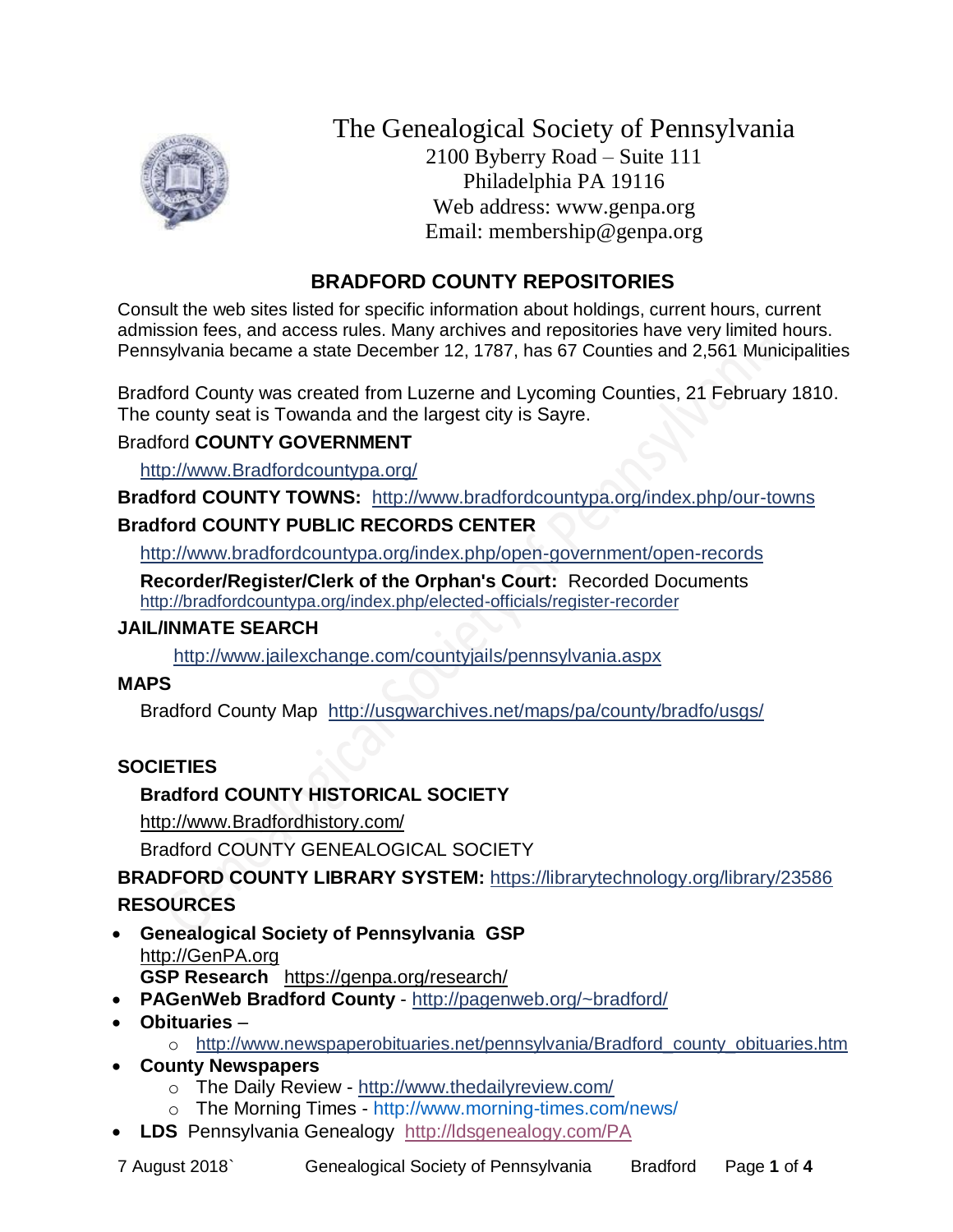

The Genealogical Society of Pennsylvania 2100 Byberry Road – Suite 111 Philadelphia PA 19116 Web address: www.genpa.org Email: membership@genpa.org

# **BRADFORD COUNTY REPOSITORIES**

Consult the web sites listed for specific information about holdings, current hours, current admission fees, and access rules. Many archives and repositories have very limited hours. Pennsylvania became a state December 12, 1787, has 67 Counties and 2,561 Municipalities

Bradford County was created from Luzerne and Lycoming Counties, 21 February 1810. The county seat is Towanda and the largest city is Sayre.

## Bradford **COUNTY GOVERNMENT**

[http://www.Bradfordcountypa.org/](http://www.bradfordcountypa.org/)

**Bradford COUNTY TOWNS:** <http://www.bradfordcountypa.org/index.php/our-towns> **Bradford COUNTY PUBLIC RECORDS CENTER**

<http://www.bradfordcountypa.org/index.php/open-government/open-records>

**Recorder/Register/Clerk of the Orphan's Court:** Recorded Documents <http://bradfordcountypa.org/index.php/elected-officials/register-recorder>

## **JAIL/INMATE SEARCH**

<http://www.jailexchange.com/countyjails/pennsylvania.aspx>

# **MAPS**

Bradford County Map <http://usgwarchives.net/maps/pa/county/bradfo/usgs/>

# **SOCIETIES**

# **Bradford COUNTY HISTORICAL SOCIETY**

[http://www.Bradfordhistory.com/](http://www.bradfordhistory.com/) 

Bradford COUNTY GENEALOGICAL SOCIETY

**BRADFORD COUNTY LIBRARY SYSTEM:** <https://librarytechnology.org/library/23586> **RESOURCES**

- **Genealogical Society of Pennsylvania GSP** [http://GenPA.org](http://genpa.org/) **GSP Research** <https://genpa.org/research/>
- **PAGenWeb Bradford County** <http://pagenweb.org/~bradford/>
- **Obituaries**
	- o [http://www.newspaperobituaries.net/pennsylvania/Bradford\\_county\\_obituaries.htm](http://www.newspaperobituaries.net/pennsylvania/Bradford_county_obituaries.htm)
- **County Newspapers**
	- o The Daily Review <http://www.thedailyreview.com/>
	- o The Morning Times http://www.morning-times.com/news/
- **LDS** Pennsylvania Genealogy <http://ldsgenealogy.com/PA>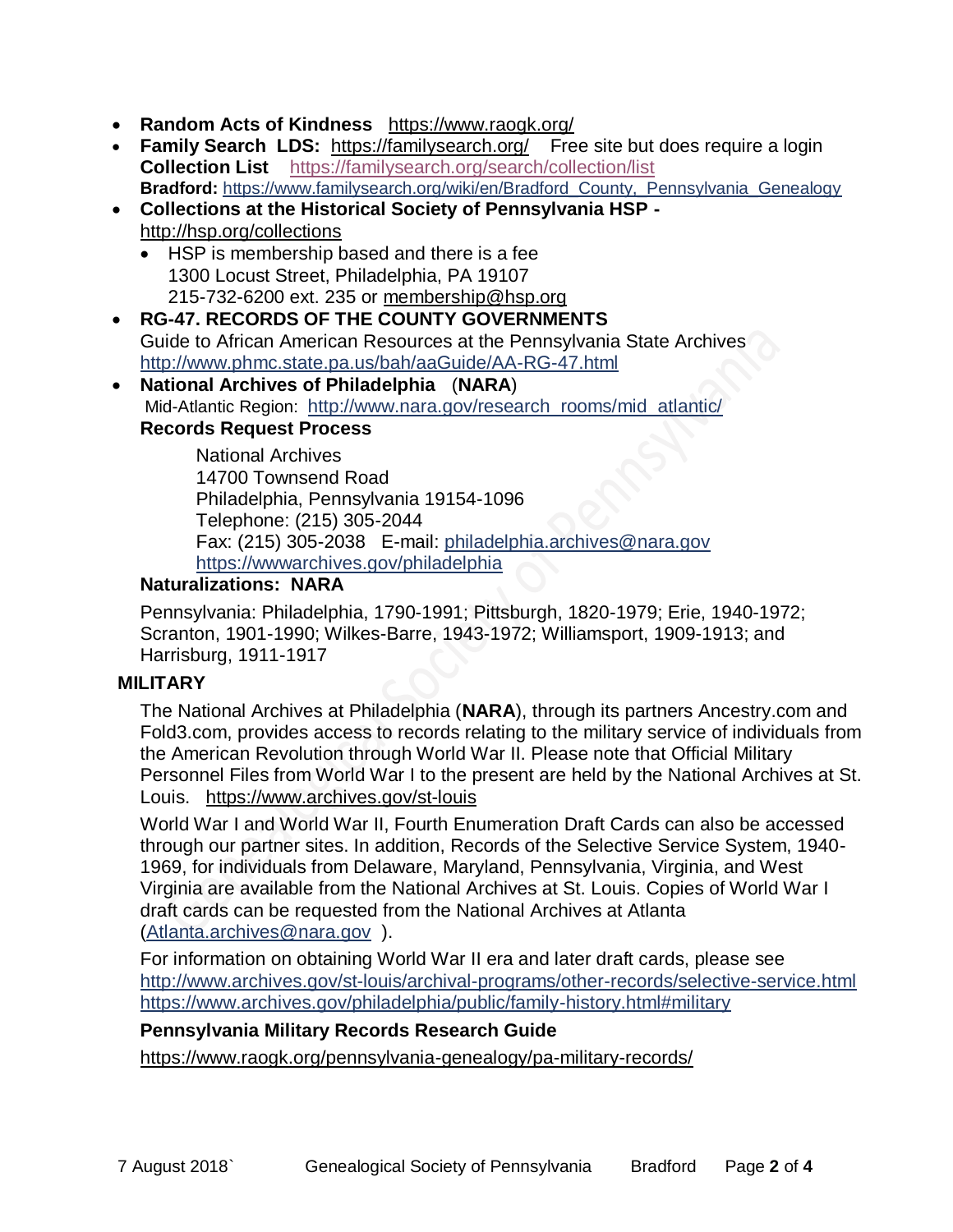- **Random Acts of Kindness** <https://www.raogk.org/>
- **Family Search LDS:** <https://familysearch.org/>Free site but does require a login **Collection List** <https://familysearch.org/search/collection/list> **Bradford:** [https://www.familysearch.org/wiki/en/Bradford\\_County,\\_Pennsylvania\\_Genealogy](https://www.familysearch.org/wiki/en/Bradford_County,_Pennsylvania_Genealogy)
- **Collections at the Historical Society of Pennsylvania HSP**  <http://hsp.org/collections>
	- HSP is membership based and there is a fee 1300 Locust Street, Philadelphia, PA 19107 215-732-6200 ext. 235 or [membership@hsp.org](mailto:membership@hsp.org)
- **RG-47. RECORDS OF THE COUNTY GOVERNMENTS** Guide to African American Resources at the Pennsylvania State Archives <http://www.phmc.state.pa.us/bah/aaGuide/AA-RG-47.html>
- **National Archives of Philadelphia** (**NARA**) Mid-Atlantic Region: [http://www.nara.gov/research\\_rooms/mid\\_atlantic/](http://www.nara.gov/research_rooms/mid_atlantic/) **Records Request Process**

National Archives 14700 Townsend Road Philadelphia, Pennsylvania 19154-1096 Telephone: (215) 305-2044 Fax: (215) 305-2038 E-mail: [philadelphia.archives@nara.gov](mailto:philadelphia.archives@nara.gov) <https://wwwarchives.gov/philadelphia>

## **Naturalizations: NARA**

Pennsylvania: Philadelphia, 1790-1991; Pittsburgh, 1820-1979; Erie, 1940-1972; Scranton, 1901-1990; Wilkes-Barre, 1943-1972; Williamsport, 1909-1913; and Harrisburg, 1911-1917

#### **MILITARY**

The National Archives at Philadelphia (**NARA**), through its partners Ancestry.com and Fold3.com, provides access to records relating to the military service of individuals from the American Revolution through World War II. Please note that Official Military Personnel Files from World War I to the present are held by the National Archives at St. Louis. <https://www.archives.gov/st-louis>

World War I and World War II, Fourth Enumeration Draft Cards can also be accessed through our partner sites. In addition, Records of the Selective Service System, 1940- 1969, for individuals from Delaware, Maryland, Pennsylvania, Virginia, and West Virginia are available from the National Archives at St. Louis. Copies of World War I draft cards can be requested from the National Archives at Atlanta [\(Atlanta.archives@nara.gov](mailto:Atlanta.archives@nara.gov) ).

For information on obtaining World War II era and later draft cards, please see <http://www.archives.gov/st-louis/archival-programs/other-records/selective-service.html> <https://www.archives.gov/philadelphia/public/family-history.html#military>

## **Pennsylvania Military Records Research Guide**

<https://www.raogk.org/pennsylvania-genealogy/pa-military-records/>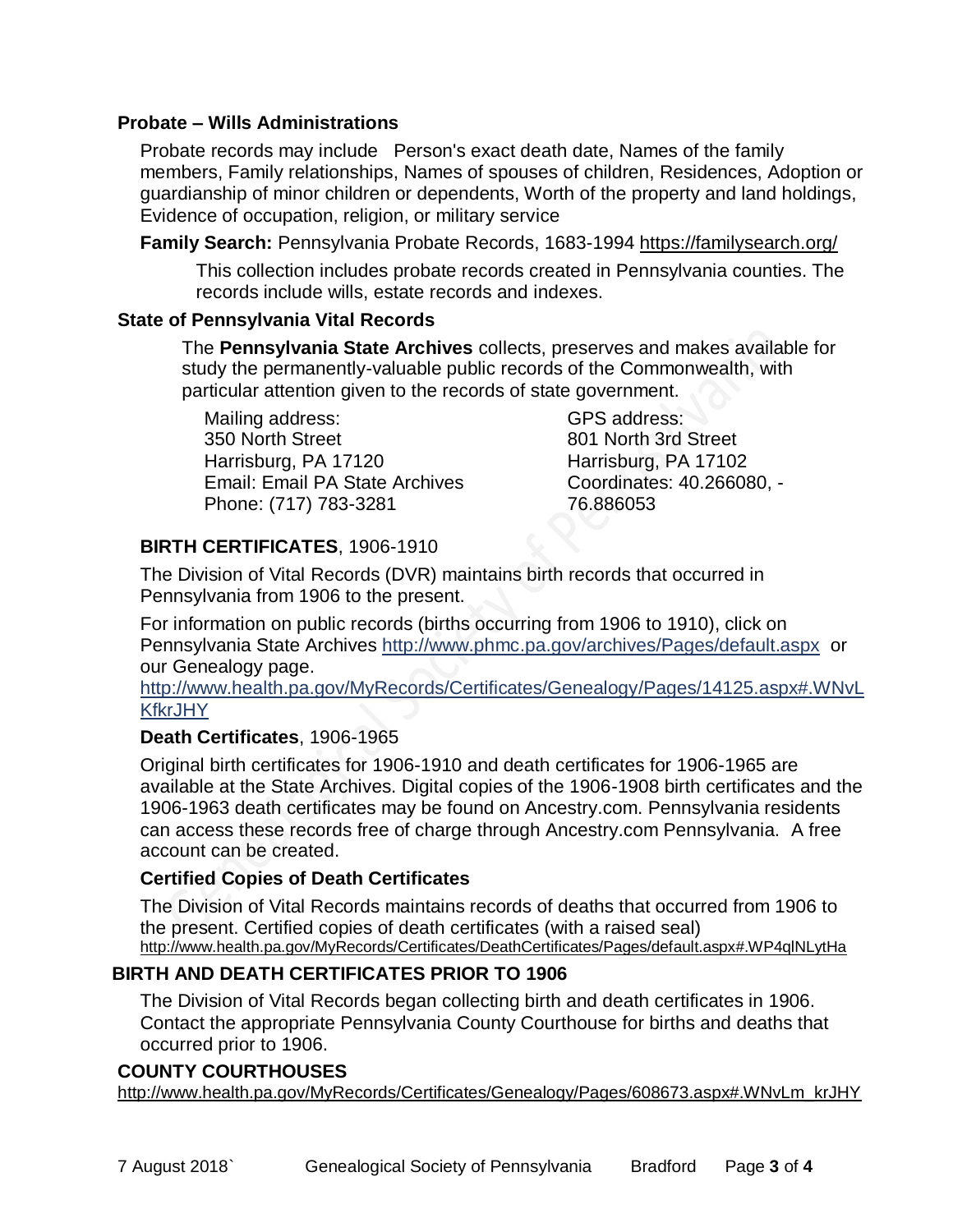## **Probate – Wills Administrations**

Probate records may include Person's exact death date, Names of the family members, Family relationships, Names of spouses of children, Residences, Adoption or guardianship of minor children or dependents, Worth of the property and land holdings, Evidence of occupation, religion, or military service

**Family Search:** Pennsylvania Probate Records, 1683-1994 <https://familysearch.org/>

This collection includes probate records created in Pennsylvania counties. The records include wills, estate records and indexes.

## **State of Pennsylvania Vital Records**

The **Pennsylvania State Archives** collects, preserves and makes available for study the permanently-valuable public records of the Commonwealth, with particular attention given to the records of state government.

Mailing address: 350 North Street Harrisburg, PA 17120 Email: Email PA State Archives Phone: (717) 783-3281

GPS address: 801 North 3rd Street Harrisburg, PA 17102 Coordinates: 40.266080, - 76.886053

## **BIRTH CERTIFICATES**, 1906-1910

The Division of Vital Records (DVR) maintains birth records that occurred in Pennsylvania from 1906 to the present.

For information on public records (births occurring from 1906 to 1910), click on Pennsylvania State Archives <http://www.phmc.pa.gov/archives/Pages/default.aspx>or our Genealogy page.

[http://www.health.pa.gov/MyRecords/Certificates/Genealogy/Pages/14125.aspx#.WNvL](http://www.health.pa.gov/MyRecords/Certificates/Genealogy/Pages/14125.aspx#.WNvLKfkrJHY) **[KfkrJHY](http://www.health.pa.gov/MyRecords/Certificates/Genealogy/Pages/14125.aspx#.WNvLKfkrJHY)** 

## **Death Certificates**, 1906-1965

Original birth certificates for 1906-1910 and death certificates for 1906-1965 are available at the State Archives. Digital copies of the 1906-1908 birth certificates and the 1906-1963 death certificates may be found on Ancestry.com. Pennsylvania residents can access these records free of charge through Ancestry.com Pennsylvania. A free account can be created.

## **Certified Copies of Death Certificates**

The Division of Vital Records maintains records of deaths that occurred from 1906 to the present. Certified copies of death certificates (with a raised seal) http://www.health.pa.gov/MyRecords/Certificates/DeathCertificates/Pages/default.aspx#.WP4qlNLytHa

## **BIRTH AND DEATH CERTIFICATES PRIOR TO 1906**

The Division of Vital Records began collecting birth and death certificates in 1906. Contact the appropriate Pennsylvania County Courthouse for births and deaths that occurred prior to 1906.

## **COUNTY COURTHOUSES**

[http://www.health.pa.gov/MyRecords/Certificates/Genealogy/Pages/608673.aspx#.WNvLm\\_krJHY](http://www.health.pa.gov/MyRecords/Certificates/Genealogy/Pages/608673.aspx#.WNvLm_krJHY)